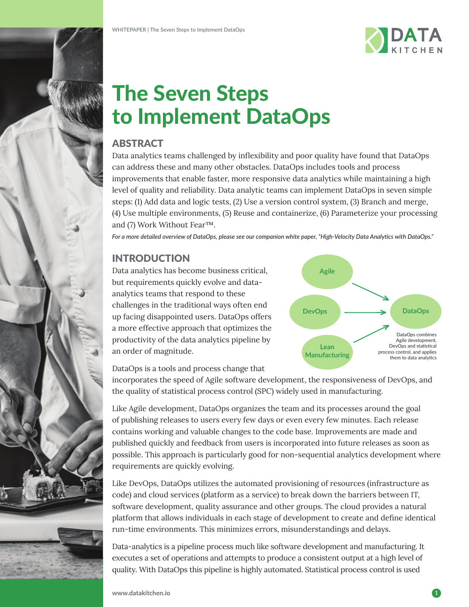



# The Seven Steps to Implement DataOps

#### ABSTRACT

Data analytics teams challenged by inflexibility and poor quality have found that DataOps can address these and many other obstacles. DataOps includes tools and process improvements that enable faster, more responsive data analytics while maintaining a high level of quality and reliability. Data analytic teams can implement DataOps in seven simple steps: (1) Add data and logic tests, (2) Use a version control system, (3) Branch and merge, (4) Use multiple environments, (5) Reuse and containerize, (6) Parameterize your processing and (7) Work Without Fear™.

*For a more detailed overview of DataOps, please see our companion white paper, "High-Velocity Data Analytics with DataOps."*

## INTRODUCTION

Data analytics has become business critical, but requirements quickly evolve and dataanalytics teams that respond to these challenges in the traditional ways often end up facing disappointed users. DataOps offers a more effective approach that optimizes the productivity of the data analytics pipeline by an order of magnitude.



DataOps is a tools and process change that

incorporates the speed of Agile software development, the responsiveness of DevOps, and the quality of statistical process control (SPC) widely used in manufacturing.

Like Agile development, DataOps organizes the team and its processes around the goal of publishing releases to users every few days or even every few minutes. Each release contains working and valuable changes to the code base. Improvements are made and published quickly and feedback from users is incorporated into future releases as soon as possible. This approach is particularly good for non-sequential analytics development where requirements are quickly evolving.

Like DevOps, DataOps utilizes the automated provisioning of resources (infrastructure as code) and cloud services (platform as a service) to break down the barriers between IT, software development, quality assurance and other groups. The cloud provides a natural platform that allows individuals in each stage of development to create and define identical run-time environments. This minimizes errors, misunderstandings and delays.

Data-analytics is a pipeline process much like software development and manufacturing. It executes a set of operations and attempts to produce a consistent output at a high level of quality. With DataOps this pipeline is highly automated. Statistical process control is used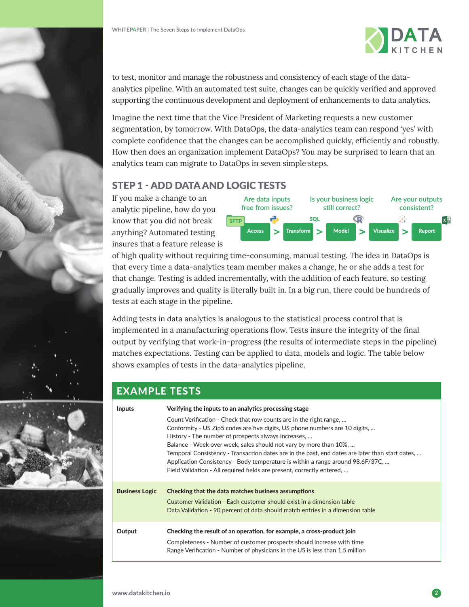

to test, monitor and manage the robustness and consistency of each stage of the dataanalytics pipeline. With an automated test suite, changes can be quickly verified and approved supporting the continuous development and deployment of enhancements to data analytics.

Imagine the next time that the Vice President of Marketing requests a new customer segmentation, by tomorrow. With DataOps, the data-analytics team can respond 'yes' with complete confidence that the changes can be accomplished quickly, efficiently and robustly. How then does an organization implement DataOps? You may be surprised to learn that an analytics team can migrate to DataOps in seven simple steps.

#### STEP 1 - ADD DATA AND LOGIC TESTS

If you make a change to an analytic pipeline, how do you know that you did not break anything? Automated testing insures that a feature release is



of high quality without requiring time-consuming, manual testing. The idea in DataOps is that every time a data-analytics team member makes a change, he or she adds a test for that change. Testing is added incrementally, with the addition of each feature, so testing gradually improves and quality is literally built in. In a big run, there could be hundreds of tests at each stage in the pipeline.

Adding tests in data analytics is analogous to the statistical process control that is implemented in a manufacturing operations flow. Tests insure the integrity of the final output by verifying that work-in-progress (the results of intermediate steps in the pipeline) matches expectations. Testing can be applied to data, models and logic. The table below shows examples of tests in the data-analytics pipeline.

#### EXAMPLE TESTS

| <b>Inputs</b>         | Verifying the inputs to an analytics processing stage<br>Count Verification - Check that row counts are in the right range,<br>Conformity - US Zip5 codes are five digits, US phone numbers are 10 digits,<br>History - The number of prospects always increases,<br>Balance - Week over week, sales should not vary by more than 10%,<br>Temporal Consistency - Transaction dates are in the past, end dates are later than start dates,<br>Application Consistency - Body temperature is within a range around 98.6F/37C,<br>Field Validation - All required fields are present, correctly entered, |
|-----------------------|-------------------------------------------------------------------------------------------------------------------------------------------------------------------------------------------------------------------------------------------------------------------------------------------------------------------------------------------------------------------------------------------------------------------------------------------------------------------------------------------------------------------------------------------------------------------------------------------------------|
| <b>Business Logic</b> | Checking that the data matches business assumptions<br>Customer Validation - Each customer should exist in a dimension table<br>Data Validation - 90 percent of data should match entries in a dimension table                                                                                                                                                                                                                                                                                                                                                                                        |
| Output                | Checking the result of an operation, for example, a cross-product join<br>Completeness - Number of customer prospects should increase with time<br>Range Verification - Number of physicians in the US is less than 1.5 million                                                                                                                                                                                                                                                                                                                                                                       |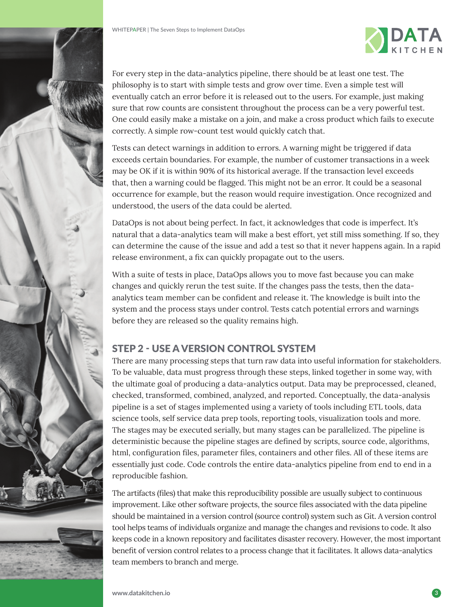



For every step in the data-analytics pipeline, there should be at least one test. The philosophy is to start with simple tests and grow over time. Even a simple test will eventually catch an error before it is released out to the users. For example, just making sure that row counts are consistent throughout the process can be a very powerful test. One could easily make a mistake on a join, and make a cross product which fails to execute correctly. A simple row-count test would quickly catch that.

Tests can detect warnings in addition to errors. A warning might be triggered if data exceeds certain boundaries. For example, the number of customer transactions in a week may be OK if it is within 90% of its historical average. If the transaction level exceeds that, then a warning could be flagged. This might not be an error. It could be a seasonal occurrence for example, but the reason would require investigation. Once recognized and understood, the users of the data could be alerted.

DataOps is not about being perfect. In fact, it acknowledges that code is imperfect. It's natural that a data-analytics team will make a best effort, yet still miss something. If so, they can determine the cause of the issue and add a test so that it never happens again. In a rapid release environment, a fix can quickly propagate out to the users.

With a suite of tests in place, DataOps allows you to move fast because you can make changes and quickly rerun the test suite. If the changes pass the tests, then the dataanalytics team member can be confident and release it. The knowledge is built into the system and the process stays under control. Tests catch potential errors and warnings before they are released so the quality remains high.

## STEP 2 - USE A VERSION CONTROL SYSTEM

There are many processing steps that turn raw data into useful information for stakeholders. To be valuable, data must progress through these steps, linked together in some way, with the ultimate goal of producing a data-analytics output. Data may be preprocessed, cleaned, checked, transformed, combined, analyzed, and reported. Conceptually, the data-analysis pipeline is a set of stages implemented using a variety of tools including ETL tools, data science tools, self service data prep tools, reporting tools, visualization tools and more. The stages may be executed serially, but many stages can be parallelized. The pipeline is deterministic because the pipeline stages are defined by scripts, source code, algorithms, html, configuration files, parameter files, containers and other files. All of these items are essentially just code. Code controls the entire data-analytics pipeline from end to end in a reproducible fashion.

The artifacts (files) that make this reproducibility possible are usually subject to continuous improvement. Like other software projects, the source files associated with the data pipeline should be maintained in a version control (source control) system such as Git. A version control tool helps teams of individuals organize and manage the changes and revisions to code. It also keeps code in a known repository and facilitates disaster recovery. However, the most important benefit of version control relates to a process change that it facilitates. It allows data-analytics team members to branch and merge.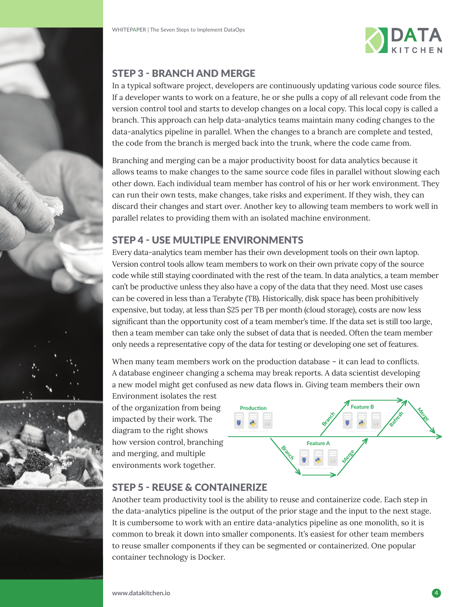

#### STEP 3 - BRANCH AND MERGE

In a typical software project, developers are continuously updating various code source files. If a developer wants to work on a feature, he or she pulls a copy of all relevant code from the version control tool and starts to develop changes on a local copy. This local copy is called a branch. This approach can help data-analytics teams maintain many coding changes to the data-analytics pipeline in parallel. When the changes to a branch are complete and tested, the code from the branch is merged back into the trunk, where the code came from.

Branching and merging can be a major productivity boost for data analytics because it allows teams to make changes to the same source code files in parallel without slowing each other down. Each individual team member has control of his or her work environment. They can run their own tests, make changes, take risks and experiment. If they wish, they can discard their changes and start over. Another key to allowing team members to work well in parallel relates to providing them with an isolated machine environment.

#### STEP 4 - USE MULTIPLE ENVIRONMENTS

Every data-analytics team member has their own development tools on their own laptop. Version control tools allow team members to work on their own private copy of the source code while still staying coordinated with the rest of the team. In data analytics, a team member can't be productive unless they also have a copy of the data that they need. Most use cases can be covered in less than a Terabyte (TB). Historically, disk space has been prohibitively expensive, but today, at less than \$25 per TB per month (cloud storage), costs are now less significant than the opportunity cost of a team member's time. If the data set is still too large, then a team member can take only the subset of data that is needed. Often the team member only needs a representative copy of the data for testing or developing one set of features. **free from issues? Is the town In** data a *steam. m* de <u>Lessa toommon</u> **consistent?**

When many team members work on the production database – it can lead to conflicts. A database engineer changing a schema may break reports. A data scientist developing a new model might get confused as new data flows in. Giving team members their own

Environment isolates the rest of the organization from being impacted by their work. The diagram to the right shows how version control, branching and merging, and multiple environments work together.



#### STEP 5 - REUSE & CONTAINERIZE

Another team productivity tool is the ability to reuse and containerize code. Each step in the data-analytics pipeline is the output of the prior stage and the input to the next stage. It is cumbersome to work with an entire data-analytics pipeline as one monolith, so it is common to break it down into smaller components. It's easiest for other team members to reuse smaller components if they can be segmented or containerized. One popular container technology is Docker.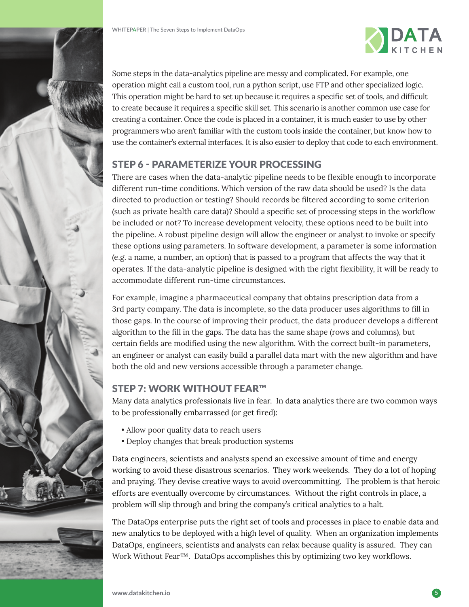

Some steps in the data-analytics pipeline are messy and complicated. For example, one operation might call a custom tool, run a python script, use FTP and other specialized logic. This operation might be hard to set up because it requires a specific set of tools, and difficult to create because it requires a specific skill set. This scenario is another common use case for creating a container. Once the code is placed in a container, it is much easier to use by other programmers who aren't familiar with the custom tools inside the container, but know how to use the container's external interfaces. It is also easier to deploy that code to each environment.

#### STEP 6 - PARAMETERIZE YOUR PROCESSING

There are cases when the data-analytic pipeline needs to be flexible enough to incorporate different run-time conditions. Which version of the raw data should be used? Is the data directed to production or testing? Should records be filtered according to some criterion (such as private health care data)? Should a specific set of processing steps in the workflow be included or not? To increase development velocity, these options need to be built into the pipeline. A robust pipeline design will allow the engineer or analyst to invoke or specify these options using parameters. In software development, a parameter is some information (e.g. a name, a number, an option) that is passed to a program that affects the way that it operates. If the data-analytic pipeline is designed with the right flexibility, it will be ready to accommodate different run-time circumstances.

For example, imagine a pharmaceutical company that obtains prescription data from a 3rd party company. The data is incomplete, so the data producer uses algorithms to fill in those gaps. In the course of improving their product, the data producer develops a different algorithm to the fill in the gaps. The data has the same shape (rows and columns), but certain fields are modified using the new algorithm. With the correct built-in parameters, an engineer or analyst can easily build a parallel data mart with the new algorithm and have both the old and new versions accessible through a parameter change.

## STEP 7: WORK WITHOUT FEAR™

Many data analytics professionals live in fear. In data analytics there are two common ways to be professionally embarrassed (or get fired):

- Allow poor quality data to reach users
- Deploy changes that break production systems

Data engineers, scientists and analysts spend an excessive amount of time and energy working to avoid these disastrous scenarios. They work weekends. They do a lot of hoping and praying. They devise creative ways to avoid overcommitting. The problem is that heroic efforts are eventually overcome by circumstances. Without the right controls in place, a problem will slip through and bring the company's critical analytics to a halt.

The DataOps enterprise puts the right set of tools and processes in place to enable data and new analytics to be deployed with a high level of quality. When an organization implements DataOps, engineers, scientists and analysts can relax because quality is assured. They can Work Without Fear™. DataOps accomplishes this by optimizing two key workflows.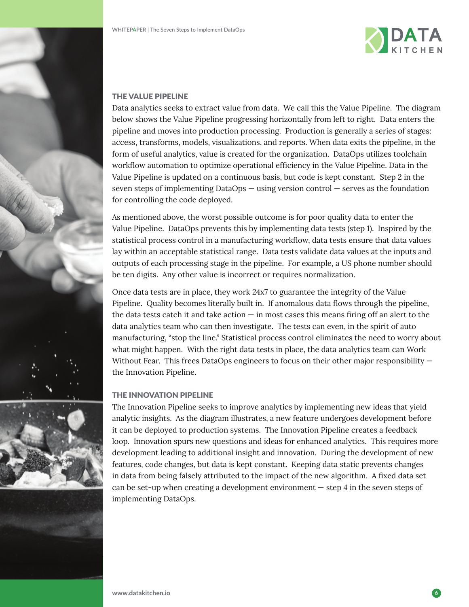

#### THE VALUE PIPELINE

Data analytics seeks to extract value from data. We call this the Value Pipeline. The diagram below shows the Value Pipeline progressing horizontally from left to right. Data enters the pipeline and moves into production processing. Production is generally a series of stages: access, transforms, models, visualizations, and reports. When data exits the pipeline, in the form of useful analytics, value is created for the organization. DataOps utilizes toolchain workflow automation to optimize operational efficiency in the Value Pipeline. Data in the Value Pipeline is updated on a continuous basis, but code is kept constant. Step 2 in the seven steps of implementing DataOps — using version control — serves as the foundation for controlling the code deployed.

As mentioned above, the worst possible outcome is for poor quality data to enter the Value Pipeline. DataOps prevents this by implementing data tests (step 1). Inspired by the statistical process control in a manufacturing workflow, data tests ensure that data values lay within an acceptable statistical range. Data tests validate data values at the inputs and outputs of each processing stage in the pipeline. For example, a US phone number should be ten digits. Any other value is incorrect or requires normalization.

Once data tests are in place, they work 24x7 to guarantee the integrity of the Value Pipeline. Quality becomes literally built in. If anomalous data flows through the pipeline, the data tests catch it and take action  $-$  in most cases this means firing off an alert to the data analytics team who can then investigate. The tests can even, in the spirit of auto manufacturing, "stop the line." Statistical process control eliminates the need to worry about what might happen. With the right data tests in place, the data analytics team can Work Without Fear. This frees DataOps engineers to focus on their other major responsibility  $$ the Innovation Pipeline.

#### THE INNOVATION PIPELINE

The Innovation Pipeline seeks to improve analytics by implementing new ideas that yield analytic insights. As the diagram illustrates, a new feature undergoes development before it can be deployed to production systems. The Innovation Pipeline creates a feedback loop. Innovation spurs new questions and ideas for enhanced analytics. This requires more development leading to additional insight and innovation. During the development of new features, code changes, but data is kept constant. Keeping data static prevents changes in data from being falsely attributed to the impact of the new algorithm. A fixed data set can be set-up when creating a development environment — step 4 in the seven steps of implementing DataOps.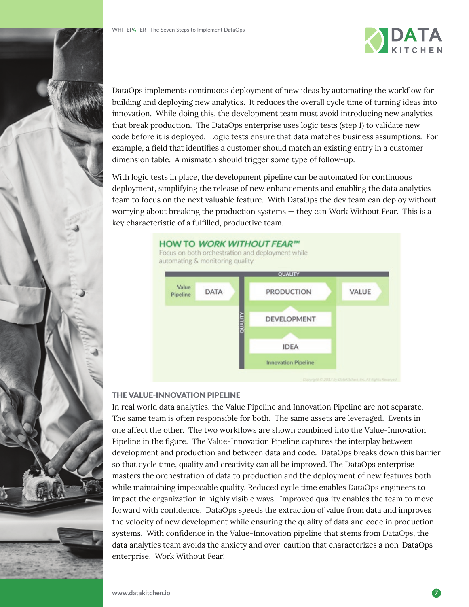



DataOps implements continuous deployment of new ideas by automating the workflow for building and deploying new analytics. It reduces the overall cycle time of turning ideas into innovation. While doing this, the development team must avoid introducing new analytics that break production. The DataOps enterprise uses logic tests (step 1) to validate new code before it is deployed. Logic tests ensure that data matches business assumptions. For example, a field that identifies a customer should match an existing entry in a customer dimension table. A mismatch should trigger some type of follow-up.

With logic tests in place, the development pipeline can be automated for continuous deployment, simplifying the release of new enhancements and enabling the data analytics team to focus on the next valuable feature. With DataOps the dev team can deploy without worrying about breaking the production systems — they can Work Without Fear. This is a key characteristic of a fulfilled, productive team.



#### THE VALUE-INNOVATION PIPELINE

In real world data analytics, the Value Pipeline and Innovation Pipeline are not separate. The same team is often responsible for both. The same assets are leveraged. Events in one affect the other. The two workflows are shown combined into the Value-Innovation Pipeline in the figure. The Value-Innovation Pipeline captures the interplay between development and production and between data and code. DataOps breaks down this barrier so that cycle time, quality and creativity can all be improved. The DataOps enterprise masters the orchestration of data to production and the deployment of new features both while maintaining impeccable quality. Reduced cycle time enables DataOps engineers to impact the organization in highly visible ways. Improved quality enables the team to move forward with confidence. DataOps speeds the extraction of value from data and improves the velocity of new development while ensuring the quality of data and code in production systems. With confidence in the Value-Innovation pipeline that stems from DataOps, the data analytics team avoids the anxiety and over-caution that characterizes a non-DataOps enterprise. Work Without Fear!